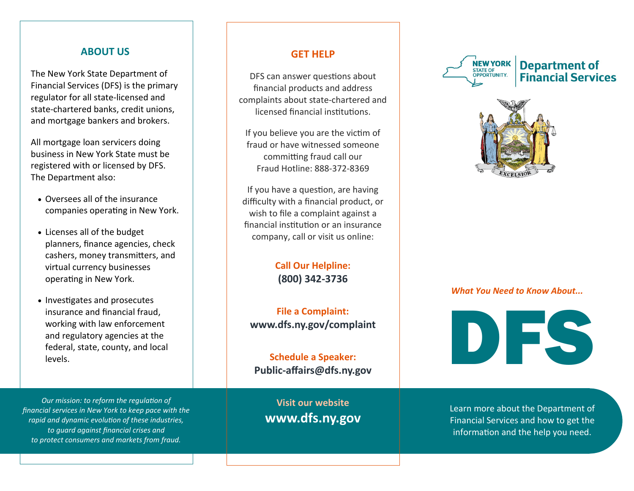#### **ABOUT US**

The New York State Department of Financial Services (DFS) is the primary regulator for all state-licensed and state-chartered banks, credit unions, and mortgage bankers and brokers.

All mortgage loan servicers doing business in New York State must be registered with or licensed by DFS. The Department also:

- Oversees all of the insurance companies operating in New York.
- Licenses all of the budget planners, finance agencies, check cashers, money transmitters, and virtual currency businesses operating in New York.
- Investigates and prosecutes insurance and financial fraud, working with law enforcement and regulatory agencies at the federal, state, county, and local levels.

*Our mission: to reform the regulation of financial services in New York to keep pace with the rapid and dynamic evolution of these industries, to guard against financial crises and to protect consumers and markets from fraud.*

### **GET HELP**

DFS can answer questions about financial products and address complaints about state-chartered and licensed financial institutions.

If you believe you are the victim of fraud or have witnessed someone committing fraud call our Fraud Hotline: 888-372-8369

If you have a question, are having difficulty with a financial product, or wish to file a complaint against a financial institution or an insurance company, call or visit us online:

> **Call Our Helpline: (800) 342-3736**

**File a Complaint: www.dfs.ny.gov/complaint**

**Schedule a Speaker: Public-affairs@dfs.ny.gov**

**Visit our website www.dfs.ny.gov**







#### *What You Need to Know About...*



Learn more about the Department of Financial Services and how to get the information and the help you need.